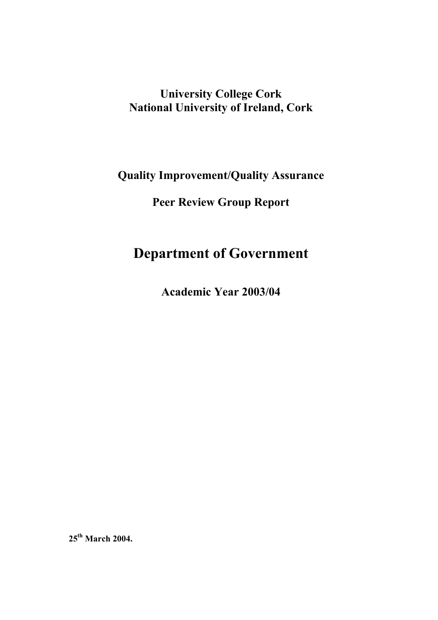## **University College Cork National University of Ireland, Cork**

**Quality Improvement/Quality Assurance** 

**Peer Review Group Report** 

# **Department of Government**

**Academic Year 2003/04** 

**25th March 2004.**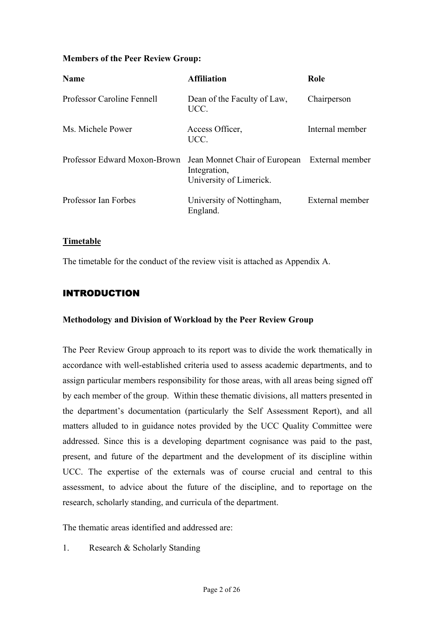## **Members of the Peer Review Group:**

| <b>Name</b>                  | <b>Affiliation</b>                                                                       | Role            |
|------------------------------|------------------------------------------------------------------------------------------|-----------------|
| Professor Caroline Fennell   | Dean of the Faculty of Law,<br>UCC.                                                      | Chairperson     |
| Ms. Michele Power            | Access Officer,<br>UCC.                                                                  | Internal member |
| Professor Edward Moxon-Brown | Jean Monnet Chair of European External member<br>Integration,<br>University of Limerick. |                 |
| Professor Ian Forbes         | University of Nottingham,<br>England.                                                    | External member |

#### **Timetable**

The timetable for the conduct of the review visit is attached as Appendix A.

## INTRODUCTION

#### **Methodology and Division of Workload by the Peer Review Group**

The Peer Review Group approach to its report was to divide the work thematically in accordance with well-established criteria used to assess academic departments, and to assign particular members responsibility for those areas, with all areas being signed off by each member of the group. Within these thematic divisions, all matters presented in the department's documentation (particularly the Self Assessment Report), and all matters alluded to in guidance notes provided by the UCC Quality Committee were addressed. Since this is a developing department cognisance was paid to the past, present, and future of the department and the development of its discipline within UCC. The expertise of the externals was of course crucial and central to this assessment, to advice about the future of the discipline, and to reportage on the research, scholarly standing, and curricula of the department.

The thematic areas identified and addressed are:

1. Research & Scholarly Standing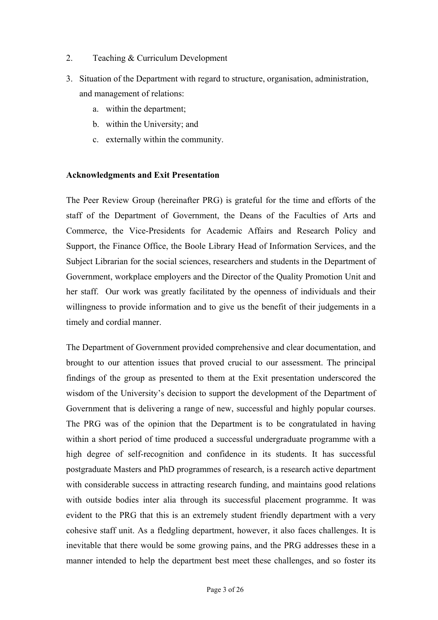- 2. Teaching & Curriculum Development
- 3. Situation of the Department with regard to structure, organisation, administration, and management of relations:
	- a. within the department;
	- b. within the University; and
	- c. externally within the community.

#### **Acknowledgments and Exit Presentation**

The Peer Review Group (hereinafter PRG) is grateful for the time and efforts of the staff of the Department of Government, the Deans of the Faculties of Arts and Commerce, the Vice-Presidents for Academic Affairs and Research Policy and Support, the Finance Office, the Boole Library Head of Information Services, and the Subject Librarian for the social sciences, researchers and students in the Department of Government, workplace employers and the Director of the Quality Promotion Unit and her staff. Our work was greatly facilitated by the openness of individuals and their willingness to provide information and to give us the benefit of their judgements in a timely and cordial manner.

The Department of Government provided comprehensive and clear documentation, and brought to our attention issues that proved crucial to our assessment. The principal findings of the group as presented to them at the Exit presentation underscored the wisdom of the University's decision to support the development of the Department of Government that is delivering a range of new, successful and highly popular courses. The PRG was of the opinion that the Department is to be congratulated in having within a short period of time produced a successful undergraduate programme with a high degree of self-recognition and confidence in its students. It has successful postgraduate Masters and PhD programmes of research, is a research active department with considerable success in attracting research funding, and maintains good relations with outside bodies inter alia through its successful placement programme. It was evident to the PRG that this is an extremely student friendly department with a very cohesive staff unit. As a fledgling department, however, it also faces challenges. It is inevitable that there would be some growing pains, and the PRG addresses these in a manner intended to help the department best meet these challenges, and so foster its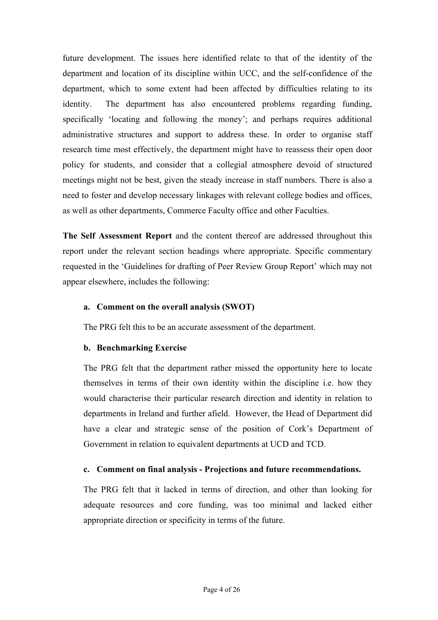future development. The issues here identified relate to that of the identity of the department and location of its discipline within UCC, and the self-confidence of the department, which to some extent had been affected by difficulties relating to its identity. The department has also encountered problems regarding funding, specifically 'locating and following the money'; and perhaps requires additional administrative structures and support to address these. In order to organise staff research time most effectively, the department might have to reassess their open door policy for students, and consider that a collegial atmosphere devoid of structured meetings might not be best, given the steady increase in staff numbers. There is also a need to foster and develop necessary linkages with relevant college bodies and offices, as well as other departments, Commerce Faculty office and other Faculties.

**The Self Assessment Report** and the content thereof are addressed throughout this report under the relevant section headings where appropriate. Specific commentary requested in the 'Guidelines for drafting of Peer Review Group Report' which may not appear elsewhere, includes the following:

## **a. Comment on the overall analysis (SWOT)**

The PRG felt this to be an accurate assessment of the department.

## **b. Benchmarking Exercise**

The PRG felt that the department rather missed the opportunity here to locate themselves in terms of their own identity within the discipline i.e. how they would characterise their particular research direction and identity in relation to departments in Ireland and further afield. However, the Head of Department did have a clear and strategic sense of the position of Cork's Department of Government in relation to equivalent departments at UCD and TCD.

## **c. Comment on final analysis - Projections and future recommendations.**

The PRG felt that it lacked in terms of direction, and other than looking for adequate resources and core funding, was too minimal and lacked either appropriate direction or specificity in terms of the future.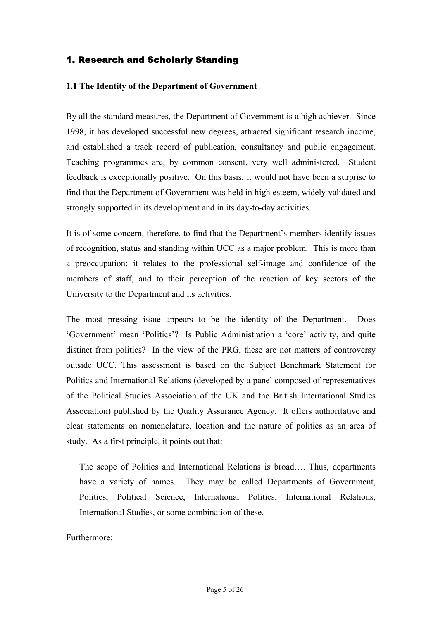## 1. Research and Scholarly Standing

#### **1.1 The Identity of the Department of Government**

By all the standard measures, the Department of Government is a high achiever. Since 1998, it has developed successful new degrees, attracted significant research income, and established a track record of publication, consultancy and public engagement. Teaching programmes are, by common consent, very well administered. Student feedback is exceptionally positive. On this basis, it would not have been a surprise to find that the Department of Government was held in high esteem, widely validated and strongly supported in its development and in its day-to-day activities.

It is of some concern, therefore, to find that the Department's members identify issues of recognition, status and standing within UCC as a major problem. This is more than a preoccupation: it relates to the professional self-image and confidence of the members of staff, and to their perception of the reaction of key sectors of the University to the Department and its activities.

The most pressing issue appears to be the identity of the Department. Does 'Government' mean 'Politics'? Is Public Administration a 'core' activity, and quite distinct from politics? In the view of the PRG, these are not matters of controversy outside UCC. This assessment is based on the Subject Benchmark Statement for Politics and International Relations (developed by a panel composed of representatives of the Political Studies Association of the UK and the British International Studies Association) published by the Quality Assurance Agency. It offers authoritative and clear statements on nomenclature, location and the nature of politics as an area of study. As a first principle, it points out that:

The scope of Politics and International Relations is broad…. Thus, departments have a variety of names. They may be called Departments of Government, Politics, Political Science, International Politics, International Relations, International Studies, or some combination of these.

Furthermore: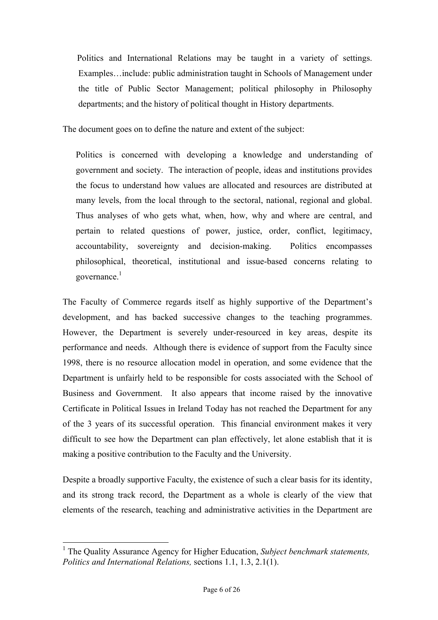Politics and International Relations may be taught in a variety of settings. Examples…include: public administration taught in Schools of Management under the title of Public Sector Management; political philosophy in Philosophy departments; and the history of political thought in History departments.

The document goes on to define the nature and extent of the subject:

Politics is concerned with developing a knowledge and understanding of government and society. The interaction of people, ideas and institutions provides the focus to understand how values are allocated and resources are distributed at many levels, from the local through to the sectoral, national, regional and global. Thus analyses of who gets what, when, how, why and where are central, and pertain to related questions of power, justice, order, conflict, legitimacy, accountability, sovereignty and decision-making. Politics encompasses philosophical, theoretical, institutional and issue-based concerns relating to governance. $<sup>1</sup>$ </sup>

The Faculty of Commerce regards itself as highly supportive of the Department's development, and has backed successive changes to the teaching programmes. However, the Department is severely under-resourced in key areas, despite its performance and needs. Although there is evidence of support from the Faculty since 1998, there is no resource allocation model in operation, and some evidence that the Department is unfairly held to be responsible for costs associated with the School of Business and Government. It also appears that income raised by the innovative Certificate in Political Issues in Ireland Today has not reached the Department for any of the 3 years of its successful operation. This financial environment makes it very difficult to see how the Department can plan effectively, let alone establish that it is making a positive contribution to the Faculty and the University.

Despite a broadly supportive Faculty, the existence of such a clear basis for its identity, and its strong track record, the Department as a whole is clearly of the view that elements of the research, teaching and administrative activities in the Department are

 $\overline{a}$ 

<span id="page-5-0"></span><sup>&</sup>lt;sup>1</sup> The Quality Assurance Agency for Higher Education, *Subject benchmark statements*, *Politics and International Relations,* sections 1.1, 1.3, 2.1(1).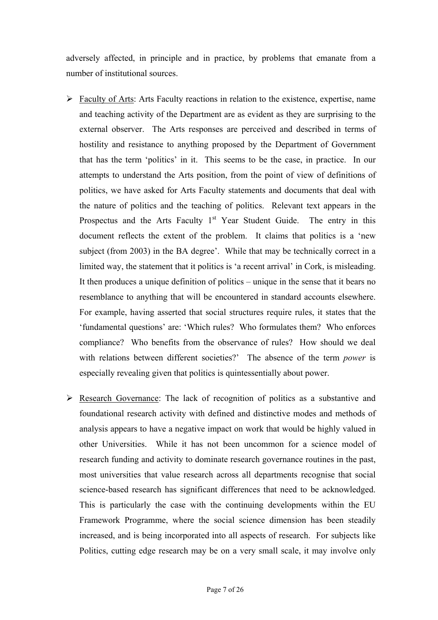adversely affected, in principle and in practice, by problems that emanate from a number of institutional sources.

- $\triangleright$  Faculty of Arts: Arts Faculty reactions in relation to the existence, expertise, name and teaching activity of the Department are as evident as they are surprising to the external observer. The Arts responses are perceived and described in terms of hostility and resistance to anything proposed by the Department of Government that has the term 'politics' in it. This seems to be the case, in practice. In our attempts to understand the Arts position, from the point of view of definitions of politics, we have asked for Arts Faculty statements and documents that deal with the nature of politics and the teaching of politics. Relevant text appears in the Prospectus and the Arts Faculty  $1<sup>st</sup>$  Year Student Guide. The entry in this document reflects the extent of the problem. It claims that politics is a 'new subject (from 2003) in the BA degree'. While that may be technically correct in a limited way, the statement that it politics is 'a recent arrival' in Cork, is misleading. It then produces a unique definition of politics – unique in the sense that it bears no resemblance to anything that will be encountered in standard accounts elsewhere. For example, having asserted that social structures require rules, it states that the 'fundamental questions' are: 'Which rules? Who formulates them? Who enforces compliance? Who benefits from the observance of rules? How should we deal with relations between different societies?' The absence of the term *power* is especially revealing given that politics is quintessentially about power.
- $\triangleright$  Research Governance: The lack of recognition of politics as a substantive and foundational research activity with defined and distinctive modes and methods of analysis appears to have a negative impact on work that would be highly valued in other Universities. While it has not been uncommon for a science model of research funding and activity to dominate research governance routines in the past, most universities that value research across all departments recognise that social science-based research has significant differences that need to be acknowledged. This is particularly the case with the continuing developments within the EU Framework Programme, where the social science dimension has been steadily increased, and is being incorporated into all aspects of research. For subjects like Politics, cutting edge research may be on a very small scale, it may involve only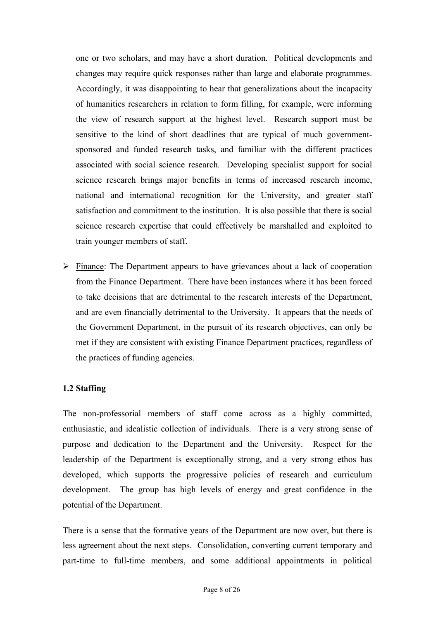one or two scholars, and may have a short duration. Political developments and changes may require quick responses rather than large and elaborate programmes. Accordingly, it was disappointing to hear that generalizations about the incapacity of humanities researchers in relation to form filling, for example, were informing the view of research support at the highest level. Research support must be sensitive to the kind of short deadlines that are typical of much governmentsponsored and funded research tasks, and familiar with the different practices associated with social science research. Developing specialist support for social science research brings major benefits in terms of increased research income, national and international recognition for the University, and greater staff satisfaction and commitment to the institution. It is also possible that there is social science research expertise that could effectively be marshalled and exploited to train younger members of staff.

 $\triangleright$  Finance: The Department appears to have grievances about a lack of cooperation from the Finance Department. There have been instances where it has been forced to take decisions that are detrimental to the research interests of the Department, and are even financially detrimental to the University. It appears that the needs of the Government Department, in the pursuit of its research objectives, can only be met if they are consistent with existing Finance Department practices, regardless of the practices of funding agencies.

## **1.2 Staffing**

The non-professorial members of staff come across as a highly committed, enthusiastic, and idealistic collection of individuals. There is a very strong sense of purpose and dedication to the Department and the University. Respect for the leadership of the Department is exceptionally strong, and a very strong ethos has developed, which supports the progressive policies of research and curriculum development. The group has high levels of energy and great confidence in the potential of the Department.

There is a sense that the formative years of the Department are now over, but there is less agreement about the next steps. Consolidation, converting current temporary and part-time to full-time members, and some additional appointments in political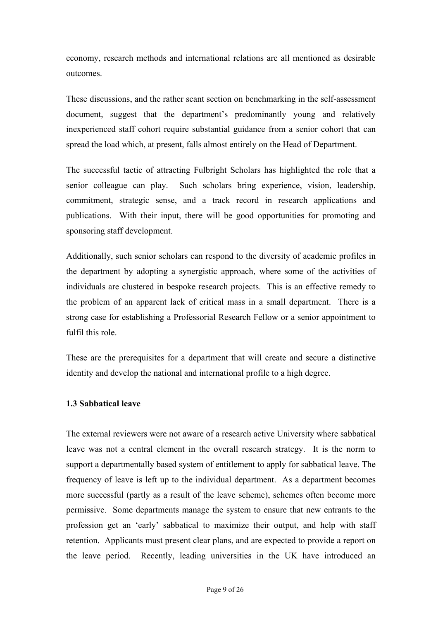economy, research methods and international relations are all mentioned as desirable outcomes.

These discussions, and the rather scant section on benchmarking in the self-assessment document, suggest that the department's predominantly young and relatively inexperienced staff cohort require substantial guidance from a senior cohort that can spread the load which, at present, falls almost entirely on the Head of Department.

The successful tactic of attracting Fulbright Scholars has highlighted the role that a senior colleague can play. Such scholars bring experience, vision, leadership, commitment, strategic sense, and a track record in research applications and publications. With their input, there will be good opportunities for promoting and sponsoring staff development.

Additionally, such senior scholars can respond to the diversity of academic profiles in the department by adopting a synergistic approach, where some of the activities of individuals are clustered in bespoke research projects. This is an effective remedy to the problem of an apparent lack of critical mass in a small department. There is a strong case for establishing a Professorial Research Fellow or a senior appointment to fulfil this role.

These are the prerequisites for a department that will create and secure a distinctive identity and develop the national and international profile to a high degree.

#### **1.3 Sabbatical leave**

The external reviewers were not aware of a research active University where sabbatical leave was not a central element in the overall research strategy. It is the norm to support a departmentally based system of entitlement to apply for sabbatical leave. The frequency of leave is left up to the individual department. As a department becomes more successful (partly as a result of the leave scheme), schemes often become more permissive. Some departments manage the system to ensure that new entrants to the profession get an 'early' sabbatical to maximize their output, and help with staff retention. Applicants must present clear plans, and are expected to provide a report on the leave period. Recently, leading universities in the UK have introduced an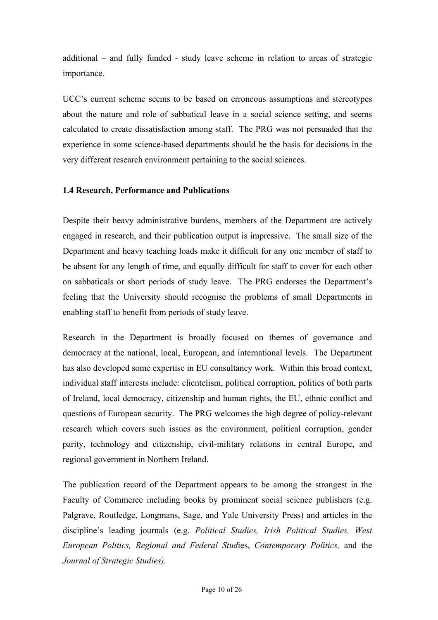additional – and fully funded - study leave scheme in relation to areas of strategic importance.

UCC's current scheme seems to be based on erroneous assumptions and stereotypes about the nature and role of sabbatical leave in a social science setting, and seems calculated to create dissatisfaction among staff. The PRG was not persuaded that the experience in some science-based departments should be the basis for decisions in the very different research environment pertaining to the social sciences.

#### **1.4 Research, Performance and Publications**

Despite their heavy administrative burdens, members of the Department are actively engaged in research, and their publication output is impressive. The small size of the Department and heavy teaching loads make it difficult for any one member of staff to be absent for any length of time, and equally difficult for staff to cover for each other on sabbaticals or short periods of study leave. The PRG endorses the Department's feeling that the University should recognise the problems of small Departments in enabling staff to benefit from periods of study leave.

Research in the Department is broadly focused on themes of governance and democracy at the national, local, European, and international levels. The Department has also developed some expertise in EU consultancy work. Within this broad context, individual staff interests include: clientelism, political corruption, politics of both parts of Ireland, local democracy, citizenship and human rights, the EU, ethnic conflict and questions of European security. The PRG welcomes the high degree of policy-relevant research which covers such issues as the environment, political corruption, gender parity, technology and citizenship, civil-military relations in central Europe, and regional government in Northern Ireland.

The publication record of the Department appears to be among the strongest in the Faculty of Commerce including books by prominent social science publishers (e.g. Palgrave, Routledge, Longmans, Sage, and Yale University Press) and articles in the discipline's leading journals (e.g. *Political Studies, Irish Political Studies, West European Politics, Regional and Federal Stud*ies, *Contemporary Politics,* and the *Journal of Strategic Studies).*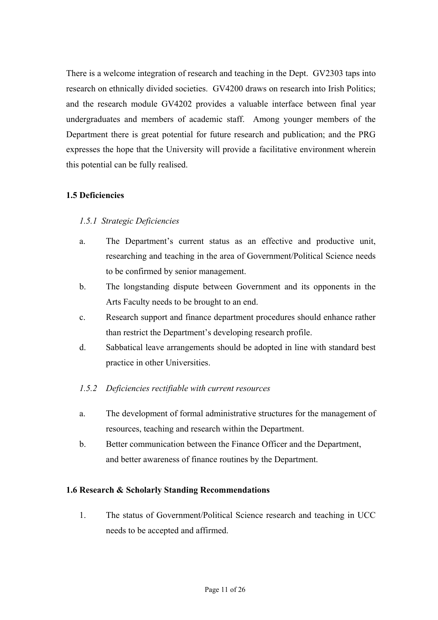There is a welcome integration of research and teaching in the Dept. GV2303 taps into research on ethnically divided societies. GV4200 draws on research into Irish Politics; and the research module GV4202 provides a valuable interface between final year undergraduates and members of academic staff. Among younger members of the Department there is great potential for future research and publication; and the PRG expresses the hope that the University will provide a facilitative environment wherein this potential can be fully realised.

## **1.5 Deficiencies**

## *1.5.1 Strategic Deficiencies*

- a. The Department's current status as an effective and productive unit, researching and teaching in the area of Government/Political Science needs to be confirmed by senior management.
- b. The longstanding dispute between Government and its opponents in the Arts Faculty needs to be brought to an end.
- c. Research support and finance department procedures should enhance rather than restrict the Department's developing research profile.
- d. Sabbatical leave arrangements should be adopted in line with standard best practice in other Universities.

## *1.5.2 Deficiencies rectifiable with current resources*

- a. The development of formal administrative structures for the management of resources, teaching and research within the Department.
- b. Better communication between the Finance Officer and the Department, and better awareness of finance routines by the Department.

## **1.6 Research & Scholarly Standing Recommendations**

1. The status of Government/Political Science research and teaching in UCC needs to be accepted and affirmed.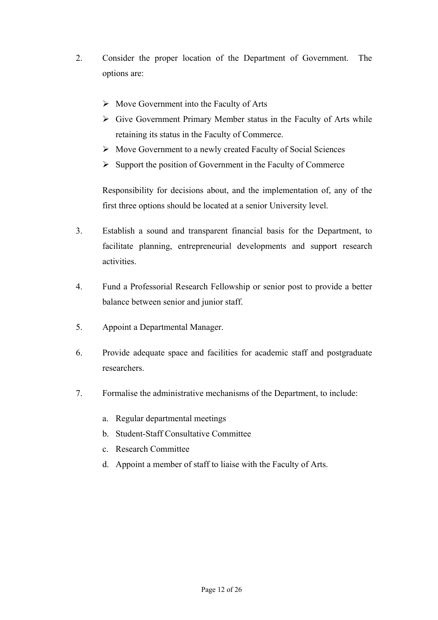- 2. Consider the proper location of the Department of Government. The options are:
	- $\triangleright$  Move Government into the Faculty of Arts
	- $\triangleright$  Give Government Primary Member status in the Faculty of Arts while retaining its status in the Faculty of Commerce.
	- $\triangleright$  Move Government to a newly created Faculty of Social Sciences
	- $\triangleright$  Support the position of Government in the Faculty of Commerce

Responsibility for decisions about, and the implementation of, any of the first three options should be located at a senior University level.

- 3. Establish a sound and transparent financial basis for the Department, to facilitate planning, entrepreneurial developments and support research activities.
- 4. Fund a Professorial Research Fellowship or senior post to provide a better balance between senior and junior staff.
- 5. Appoint a Departmental Manager.
- 6. Provide adequate space and facilities for academic staff and postgraduate researchers.
- 7. Formalise the administrative mechanisms of the Department, to include:
	- a. Regular departmental meetings
	- b. Student-Staff Consultative Committee
	- c. Research Committee
	- d. Appoint a member of staff to liaise with the Faculty of Arts.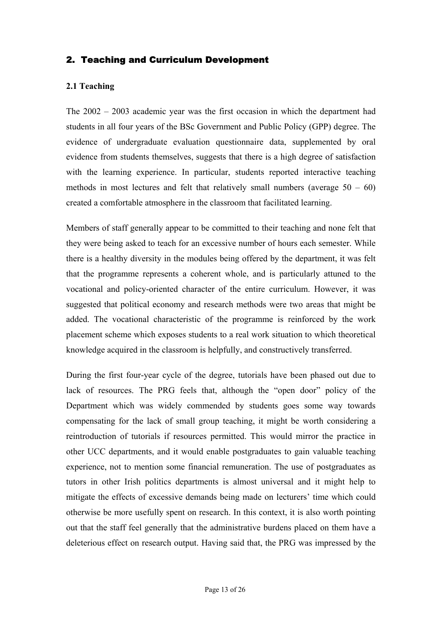## 2. Teaching and Curriculum Development

#### **2.1 Teaching**

The 2002 – 2003 academic year was the first occasion in which the department had students in all four years of the BSc Government and Public Policy (GPP) degree. The evidence of undergraduate evaluation questionnaire data, supplemented by oral evidence from students themselves, suggests that there is a high degree of satisfaction with the learning experience. In particular, students reported interactive teaching methods in most lectures and felt that relatively small numbers (average  $50 - 60$ ) created a comfortable atmosphere in the classroom that facilitated learning.

Members of staff generally appear to be committed to their teaching and none felt that they were being asked to teach for an excessive number of hours each semester. While there is a healthy diversity in the modules being offered by the department, it was felt that the programme represents a coherent whole, and is particularly attuned to the vocational and policy-oriented character of the entire curriculum. However, it was suggested that political economy and research methods were two areas that might be added. The vocational characteristic of the programme is reinforced by the work placement scheme which exposes students to a real work situation to which theoretical knowledge acquired in the classroom is helpfully, and constructively transferred.

During the first four-year cycle of the degree, tutorials have been phased out due to lack of resources. The PRG feels that, although the "open door" policy of the Department which was widely commended by students goes some way towards compensating for the lack of small group teaching, it might be worth considering a reintroduction of tutorials if resources permitted. This would mirror the practice in other UCC departments, and it would enable postgraduates to gain valuable teaching experience, not to mention some financial remuneration. The use of postgraduates as tutors in other Irish politics departments is almost universal and it might help to mitigate the effects of excessive demands being made on lecturers' time which could otherwise be more usefully spent on research. In this context, it is also worth pointing out that the staff feel generally that the administrative burdens placed on them have a deleterious effect on research output. Having said that, the PRG was impressed by the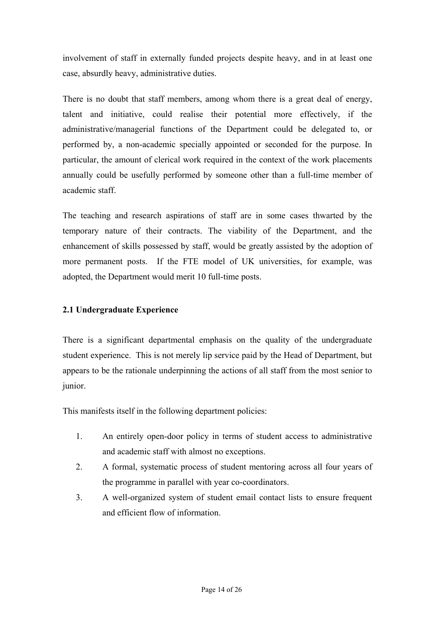involvement of staff in externally funded projects despite heavy, and in at least one case, absurdly heavy, administrative duties.

There is no doubt that staff members, among whom there is a great deal of energy, talent and initiative, could realise their potential more effectively, if the administrative/managerial functions of the Department could be delegated to, or performed by, a non-academic specially appointed or seconded for the purpose. In particular, the amount of clerical work required in the context of the work placements annually could be usefully performed by someone other than a full-time member of academic staff.

The teaching and research aspirations of staff are in some cases thwarted by the temporary nature of their contracts. The viability of the Department, and the enhancement of skills possessed by staff, would be greatly assisted by the adoption of more permanent posts. If the FTE model of UK universities, for example, was adopted, the Department would merit 10 full-time posts.

## **2.1 Undergraduate Experience**

There is a significant departmental emphasis on the quality of the undergraduate student experience. This is not merely lip service paid by the Head of Department, but appears to be the rationale underpinning the actions of all staff from the most senior to junior.

This manifests itself in the following department policies:

- 1. An entirely open-door policy in terms of student access to administrative and academic staff with almost no exceptions.
- 2. A formal, systematic process of student mentoring across all four years of the programme in parallel with year co-coordinators.
- 3. A well-organized system of student email contact lists to ensure frequent and efficient flow of information.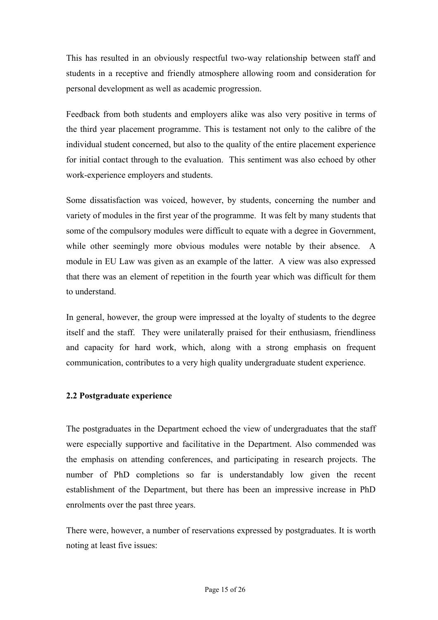This has resulted in an obviously respectful two-way relationship between staff and students in a receptive and friendly atmosphere allowing room and consideration for personal development as well as academic progression.

Feedback from both students and employers alike was also very positive in terms of the third year placement programme. This is testament not only to the calibre of the individual student concerned, but also to the quality of the entire placement experience for initial contact through to the evaluation. This sentiment was also echoed by other work-experience employers and students.

Some dissatisfaction was voiced, however, by students, concerning the number and variety of modules in the first year of the programme. It was felt by many students that some of the compulsory modules were difficult to equate with a degree in Government, while other seemingly more obvious modules were notable by their absence. A module in EU Law was given as an example of the latter. A view was also expressed that there was an element of repetition in the fourth year which was difficult for them to understand.

In general, however, the group were impressed at the loyalty of students to the degree itself and the staff. They were unilaterally praised for their enthusiasm, friendliness and capacity for hard work, which, along with a strong emphasis on frequent communication, contributes to a very high quality undergraduate student experience.

#### **2.2 Postgraduate experience**

The postgraduates in the Department echoed the view of undergraduates that the staff were especially supportive and facilitative in the Department. Also commended was the emphasis on attending conferences, and participating in research projects. The number of PhD completions so far is understandably low given the recent establishment of the Department, but there has been an impressive increase in PhD enrolments over the past three years.

There were, however, a number of reservations expressed by postgraduates. It is worth noting at least five issues: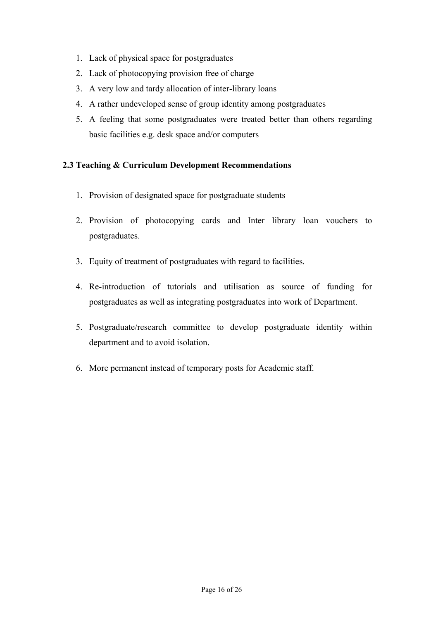- 1. Lack of physical space for postgraduates
- 2. Lack of photocopying provision free of charge
- 3. A very low and tardy allocation of inter-library loans
- 4. A rather undeveloped sense of group identity among postgraduates
- 5. A feeling that some postgraduates were treated better than others regarding basic facilities e.g. desk space and/or computers

## **2.3 Teaching & Curriculum Development Recommendations**

- 1. Provision of designated space for postgraduate students
- 2. Provision of photocopying cards and Inter library loan vouchers to postgraduates.
- 3. Equity of treatment of postgraduates with regard to facilities.
- 4. Re-introduction of tutorials and utilisation as source of funding for postgraduates as well as integrating postgraduates into work of Department.
- 5. Postgraduate/research committee to develop postgraduate identity within department and to avoid isolation.
- 6. More permanent instead of temporary posts for Academic staff.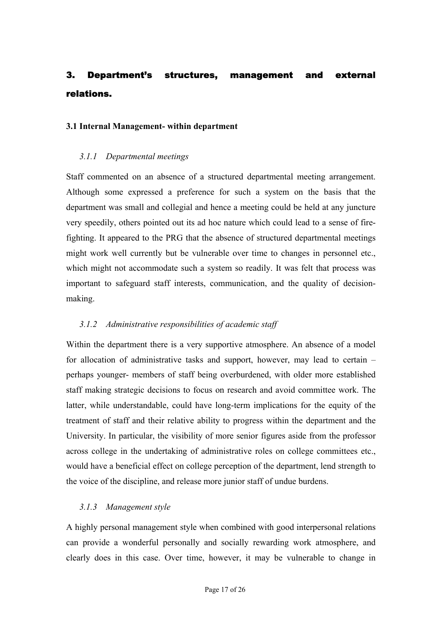# 3. Department's structures, management and external relations.

#### **3.1 Internal Management- within department**

#### *3.1.1 Departmental meetings*

Staff commented on an absence of a structured departmental meeting arrangement. Although some expressed a preference for such a system on the basis that the department was small and collegial and hence a meeting could be held at any juncture very speedily, others pointed out its ad hoc nature which could lead to a sense of firefighting. It appeared to the PRG that the absence of structured departmental meetings might work well currently but be vulnerable over time to changes in personnel etc., which might not accommodate such a system so readily. It was felt that process was important to safeguard staff interests, communication, and the quality of decisionmaking.

#### *3.1.2 Administrative responsibilities of academic staff*

Within the department there is a very supportive atmosphere. An absence of a model for allocation of administrative tasks and support, however, may lead to certain – perhaps younger- members of staff being overburdened, with older more established staff making strategic decisions to focus on research and avoid committee work. The latter, while understandable, could have long-term implications for the equity of the treatment of staff and their relative ability to progress within the department and the University. In particular, the visibility of more senior figures aside from the professor across college in the undertaking of administrative roles on college committees etc., would have a beneficial effect on college perception of the department, lend strength to the voice of the discipline, and release more junior staff of undue burdens.

#### *3.1.3 Management style*

A highly personal management style when combined with good interpersonal relations can provide a wonderful personally and socially rewarding work atmosphere, and clearly does in this case. Over time, however, it may be vulnerable to change in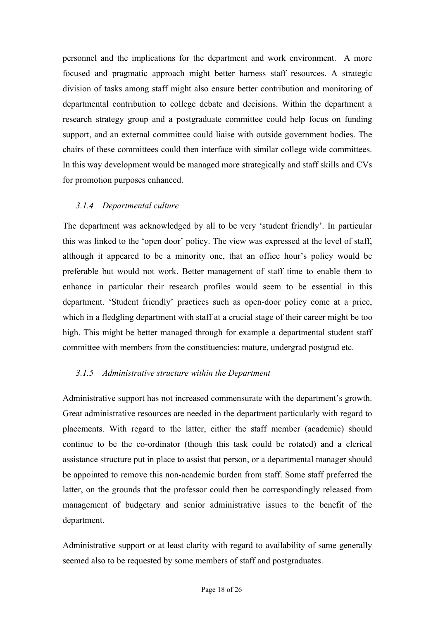personnel and the implications for the department and work environment. A more focused and pragmatic approach might better harness staff resources. A strategic division of tasks among staff might also ensure better contribution and monitoring of departmental contribution to college debate and decisions. Within the department a research strategy group and a postgraduate committee could help focus on funding support, and an external committee could liaise with outside government bodies. The chairs of these committees could then interface with similar college wide committees. In this way development would be managed more strategically and staff skills and CVs for promotion purposes enhanced.

## *3.1.4 Departmental culture*

The department was acknowledged by all to be very 'student friendly'. In particular this was linked to the 'open door' policy. The view was expressed at the level of staff, although it appeared to be a minority one, that an office hour's policy would be preferable but would not work. Better management of staff time to enable them to enhance in particular their research profiles would seem to be essential in this department. 'Student friendly' practices such as open-door policy come at a price, which in a fledgling department with staff at a crucial stage of their career might be too high. This might be better managed through for example a departmental student staff committee with members from the constituencies: mature, undergrad postgrad etc.

## *3.1.5 Administrative structure within the Department*

Administrative support has not increased commensurate with the department's growth. Great administrative resources are needed in the department particularly with regard to placements. With regard to the latter, either the staff member (academic) should continue to be the co-ordinator (though this task could be rotated) and a clerical assistance structure put in place to assist that person, or a departmental manager should be appointed to remove this non-academic burden from staff. Some staff preferred the latter, on the grounds that the professor could then be correspondingly released from management of budgetary and senior administrative issues to the benefit of the department.

Administrative support or at least clarity with regard to availability of same generally seemed also to be requested by some members of staff and postgraduates.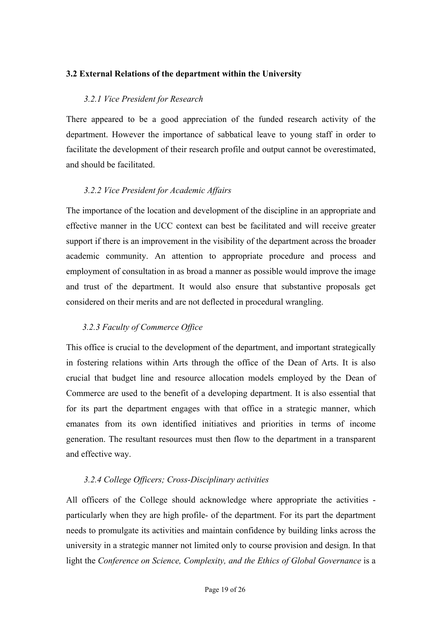## **3.2 External Relations of the department within the University**

## *3.2.1 Vice President for Research*

There appeared to be a good appreciation of the funded research activity of the department. However the importance of sabbatical leave to young staff in order to facilitate the development of their research profile and output cannot be overestimated, and should be facilitated.

#### *3.2.2 Vice President for Academic Affairs*

The importance of the location and development of the discipline in an appropriate and effective manner in the UCC context can best be facilitated and will receive greater support if there is an improvement in the visibility of the department across the broader academic community. An attention to appropriate procedure and process and employment of consultation in as broad a manner as possible would improve the image and trust of the department. It would also ensure that substantive proposals get considered on their merits and are not deflected in procedural wrangling.

## *3.2.3 Faculty of Commerce Office*

This office is crucial to the development of the department, and important strategically in fostering relations within Arts through the office of the Dean of Arts. It is also crucial that budget line and resource allocation models employed by the Dean of Commerce are used to the benefit of a developing department. It is also essential that for its part the department engages with that office in a strategic manner, which emanates from its own identified initiatives and priorities in terms of income generation. The resultant resources must then flow to the department in a transparent and effective way.

## *3.2.4 College Officers; Cross-Disciplinary activities*

All officers of the College should acknowledge where appropriate the activities particularly when they are high profile- of the department. For its part the department needs to promulgate its activities and maintain confidence by building links across the university in a strategic manner not limited only to course provision and design. In that light the *Conference on Science, Complexity, and the Ethics of Global Governance* is a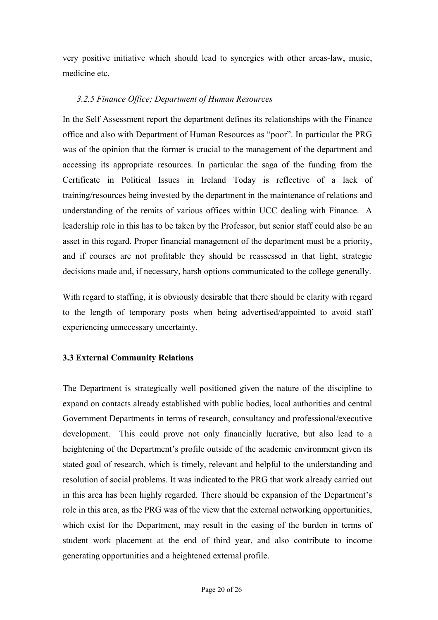very positive initiative which should lead to synergies with other areas-law, music, medicine etc.

#### *3.2.5 Finance Office; Department of Human Resources*

In the Self Assessment report the department defines its relationships with the Finance office and also with Department of Human Resources as "poor". In particular the PRG was of the opinion that the former is crucial to the management of the department and accessing its appropriate resources. In particular the saga of the funding from the Certificate in Political Issues in Ireland Today is reflective of a lack of training/resources being invested by the department in the maintenance of relations and understanding of the remits of various offices within UCC dealing with Finance. A leadership role in this has to be taken by the Professor, but senior staff could also be an asset in this regard. Proper financial management of the department must be a priority, and if courses are not profitable they should be reassessed in that light, strategic decisions made and, if necessary, harsh options communicated to the college generally.

With regard to staffing, it is obviously desirable that there should be clarity with regard to the length of temporary posts when being advertised/appointed to avoid staff experiencing unnecessary uncertainty.

#### **3.3 External Community Relations**

The Department is strategically well positioned given the nature of the discipline to expand on contacts already established with public bodies, local authorities and central Government Departments in terms of research, consultancy and professional/executive development. This could prove not only financially lucrative, but also lead to a heightening of the Department's profile outside of the academic environment given its stated goal of research, which is timely, relevant and helpful to the understanding and resolution of social problems. It was indicated to the PRG that work already carried out in this area has been highly regarded. There should be expansion of the Department's role in this area, as the PRG was of the view that the external networking opportunities, which exist for the Department, may result in the easing of the burden in terms of student work placement at the end of third year, and also contribute to income generating opportunities and a heightened external profile.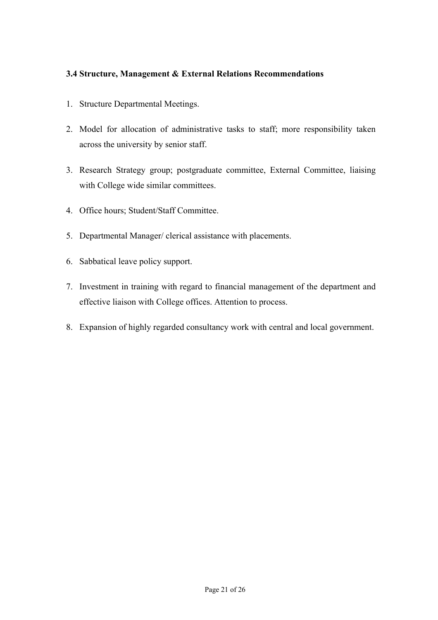## **3.4 Structure, Management & External Relations Recommendations**

- 1. Structure Departmental Meetings.
- 2. Model for allocation of administrative tasks to staff; more responsibility taken across the university by senior staff.
- 3. Research Strategy group; postgraduate committee, External Committee, liaising with College wide similar committees.
- 4. Office hours; Student/Staff Committee.
- 5. Departmental Manager/ clerical assistance with placements.
- 6. Sabbatical leave policy support.
- 7. Investment in training with regard to financial management of the department and effective liaison with College offices. Attention to process.
- 8. Expansion of highly regarded consultancy work with central and local government.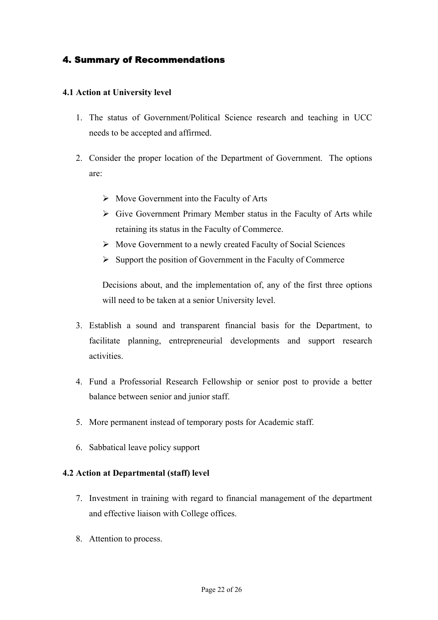## 4. Summary of Recommendations

#### **4.1 Action at University level**

- 1. The status of Government/Political Science research and teaching in UCC needs to be accepted and affirmed.
- 2. Consider the proper location of the Department of Government. The options are:
	- $\triangleright$  Move Government into the Faculty of Arts
	- $\triangleright$  Give Government Primary Member status in the Faculty of Arts while retaining its status in the Faculty of Commerce.
	- $\triangleright$  Move Government to a newly created Faculty of Social Sciences
	- $\triangleright$  Support the position of Government in the Faculty of Commerce

Decisions about, and the implementation of, any of the first three options will need to be taken at a senior University level.

- 3. Establish a sound and transparent financial basis for the Department, to facilitate planning, entrepreneurial developments and support research activities.
- 4. Fund a Professorial Research Fellowship or senior post to provide a better balance between senior and junior staff.
- 5. More permanent instead of temporary posts for Academic staff.
- 6. Sabbatical leave policy support

#### **4.2 Action at Departmental (staff) level**

- 7. Investment in training with regard to financial management of the department and effective liaison with College offices.
- 8. Attention to process.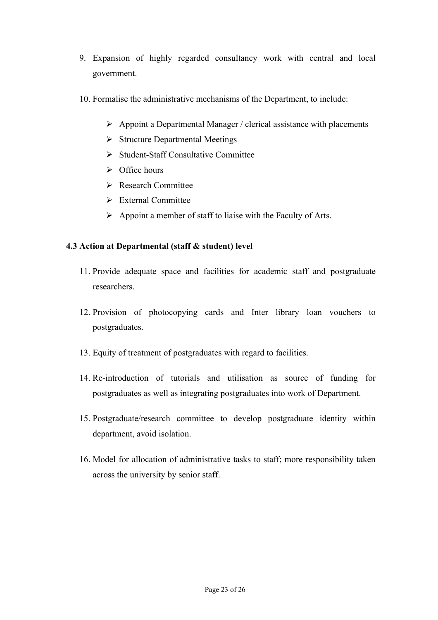- 9. Expansion of highly regarded consultancy work with central and local government.
- 10. Formalise the administrative mechanisms of the Department, to include:
	- $\triangleright$  Appoint a Departmental Manager / clerical assistance with placements
	- $\triangleright$  Structure Departmental Meetings
	- $\triangleright$  Student-Staff Consultative Committee
	- $\triangleright$  Office hours
	- ¾ Research Committee
	- ¾ External Committee
	- $\triangleright$  Appoint a member of staff to liaise with the Faculty of Arts.

## **4.3 Action at Departmental (staff & student) level**

- 11. Provide adequate space and facilities for academic staff and postgraduate researchers.
- 12. Provision of photocopying cards and Inter library loan vouchers to postgraduates.
- 13. Equity of treatment of postgraduates with regard to facilities.
- 14. Re-introduction of tutorials and utilisation as source of funding for postgraduates as well as integrating postgraduates into work of Department.
- 15. Postgraduate/research committee to develop postgraduate identity within department, avoid isolation.
- 16. Model for allocation of administrative tasks to staff; more responsibility taken across the university by senior staff.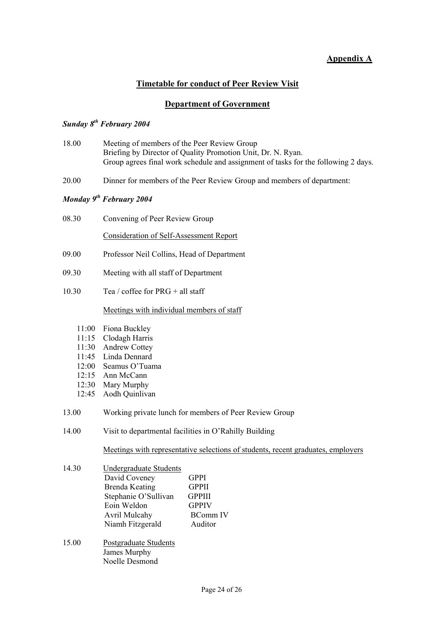## **Appendix A**

## **Timetable for conduct of Peer Review Visit**

#### **Department of Government**

#### *Sunday 8th February 2004*

- 18.00 Meeting of members of the Peer Review Group Briefing by Director of Quality Promotion Unit, Dr. N. Ryan. Group agrees final work schedule and assignment of tasks for the following 2 days.
- 20.00 Dinner for members of the Peer Review Group and members of department:

#### *Monday 9th February 2004*

08.30 Convening of Peer Review Group

Consideration of Self-Assessment Report

- 09.00 Professor Neil Collins, Head of Department
- 09.30 Meeting with all staff of Department
- 10.30 Tea / coffee for  $PRG + all staff$

Meetings with individual members of staff

- 11:00 Fiona Buckley
- 11:15 Clodagh Harris
- 11:30 Andrew Cottey
- 11:45 Linda Dennard
- 12:00 Seamus O'Tuama
- 12:15 Ann McCann
- 12:30 Mary Murphy
- 12:45 Aodh Quinlivan
- 13.00 Working private lunch for members of Peer Review Group
- 14.00 Visit to departmental facilities in O'Rahilly Building

Meetings with representative selections of students, recent graduates, employers

- 14.30 Undergraduate Students David Coveney **GPPI** Brenda Keating GPPII Stephanie O'Sullivan GPPIII<br>Eoin Weldon GPPIV Eoin Weldon Avril Mulcahy BComm IV Niamh Fitzgerald Auditor
- 15.00 Postgraduate Students James Murphy Noelle Desmond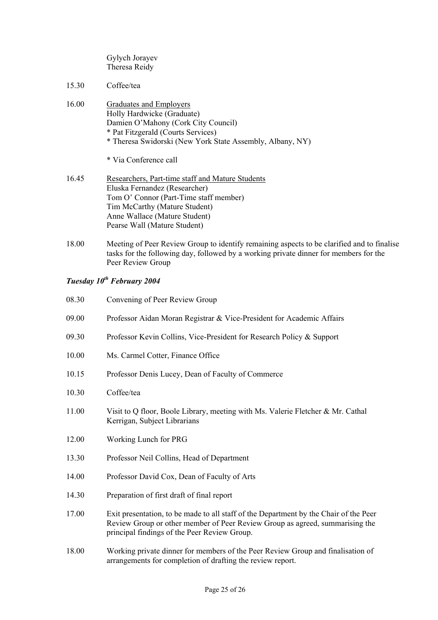Gylych Jorayev Theresa Reidy

- 15.30 Coffee/tea
- 16.00 Graduates and Employers Holly Hardwicke (Graduate) Damien O'Mahony (Cork City Council) \* Pat Fitzgerald (Courts Services) \* Theresa Swidorski (New York State Assembly, Albany, NY)

\* Via Conference call

- 16.45 Researchers, Part-time staff and Mature Students Eluska Fernandez (Researcher) Tom O' Connor (Part-Time staff member) Tim McCarthy (Mature Student) Anne Wallace (Mature Student) Pearse Wall (Mature Student)
- 18.00 Meeting of Peer Review Group to identify remaining aspects to be clarified and to finalise tasks for the following day, followed by a working private dinner for members for the Peer Review Group

## *Tuesday 10th February 2004*

| 08.30 | Convening of Peer Review Group                                                                                                                                                                                        |
|-------|-----------------------------------------------------------------------------------------------------------------------------------------------------------------------------------------------------------------------|
| 09.00 | Professor Aidan Moran Registrar & Vice-President for Academic Affairs                                                                                                                                                 |
| 09.30 | Professor Kevin Collins, Vice-President for Research Policy & Support                                                                                                                                                 |
| 10.00 | Ms. Carmel Cotter, Finance Office                                                                                                                                                                                     |
| 10.15 | Professor Denis Lucey, Dean of Faculty of Commerce                                                                                                                                                                    |
| 10.30 | Coffee/tea                                                                                                                                                                                                            |
| 11.00 | Visit to Q floor, Boole Library, meeting with Ms. Valerie Fletcher & Mr. Cathal<br>Kerrigan, Subject Librarians                                                                                                       |
| 12.00 | Working Lunch for PRG                                                                                                                                                                                                 |
| 13.30 | Professor Neil Collins, Head of Department                                                                                                                                                                            |
| 14.00 | Professor David Cox, Dean of Faculty of Arts                                                                                                                                                                          |
| 14.30 | Preparation of first draft of final report                                                                                                                                                                            |
| 17.00 | Exit presentation, to be made to all staff of the Department by the Chair of the Peer<br>Review Group or other member of Peer Review Group as agreed, summarising the<br>principal findings of the Peer Review Group. |

18.00 Working private dinner for members of the Peer Review Group and finalisation of arrangements for completion of drafting the review report.